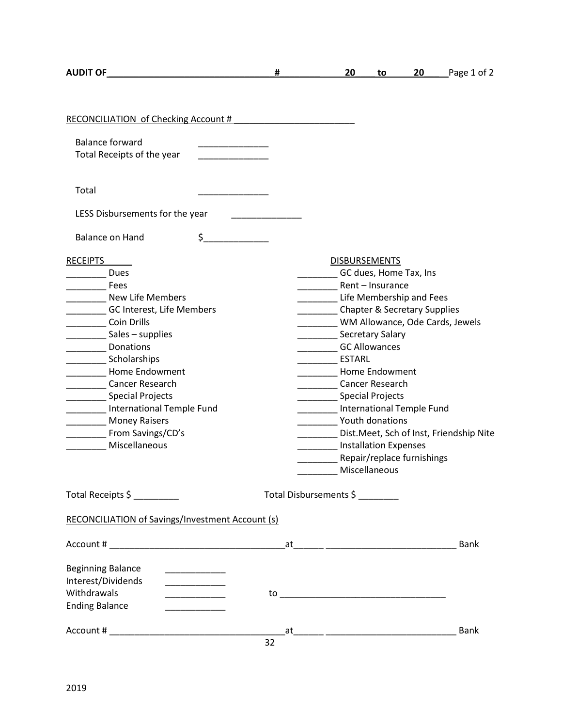| RECONCILIATION of Checking Account #                                                                                                                                                                                                                                                                                                   |    |                                                                                                                                                                                                                                                                                                                                                                                                                                                                                                                                       |             |
|----------------------------------------------------------------------------------------------------------------------------------------------------------------------------------------------------------------------------------------------------------------------------------------------------------------------------------------|----|---------------------------------------------------------------------------------------------------------------------------------------------------------------------------------------------------------------------------------------------------------------------------------------------------------------------------------------------------------------------------------------------------------------------------------------------------------------------------------------------------------------------------------------|-------------|
| <b>Balance forward</b><br>Total Receipts of the year                                                                                                                                                                                                                                                                                   |    |                                                                                                                                                                                                                                                                                                                                                                                                                                                                                                                                       |             |
| Total                                                                                                                                                                                                                                                                                                                                  |    |                                                                                                                                                                                                                                                                                                                                                                                                                                                                                                                                       |             |
| LESS Disbursements for the year                                                                                                                                                                                                                                                                                                        |    |                                                                                                                                                                                                                                                                                                                                                                                                                                                                                                                                       |             |
| $\zeta$<br>Balance on Hand                                                                                                                                                                                                                                                                                                             |    |                                                                                                                                                                                                                                                                                                                                                                                                                                                                                                                                       |             |
| <b>RECEIPTS</b><br>Dues<br>Fees<br><b>New Life Members</b><br>GC Interest, Life Members<br>Coin Drills<br>Sales – supplies<br><b>COLLEGE</b> Donations<br>Scholarships<br>________ Home Endowment<br>Cancer Research<br>Special Projects<br>International Temple Fund<br>_________ Money Raisers<br>From Savings/CD's<br>Miscellaneous |    | <b>DISBURSEMENTS</b><br>GC dues, Home Tax, Ins<br>Rent - Insurance<br>Life Membership and Fees<br>___________ Chapter & Secretary Supplies<br>WM Allowance, Ode Cards, Jewels<br>Secretary Salary<br><b>GC Allowances</b><br><b>ESTARL</b><br>____ Home Endowment<br>Cancer Research<br>Special Projects<br>International Temple Fund<br>___________ Youth donations<br>Dist. Meet, Sch of Inst, Friendship Nite<br><u> Liberatura de la p</u><br><b>Natural Installation Expenses</b><br>Repair/replace furnishings<br>Miscellaneous |             |
| Total Receipts \$                                                                                                                                                                                                                                                                                                                      |    | Total Disbursements \$                                                                                                                                                                                                                                                                                                                                                                                                                                                                                                                |             |
| <b>RECONCILIATION of Savings/Investment Account (s)</b>                                                                                                                                                                                                                                                                                |    |                                                                                                                                                                                                                                                                                                                                                                                                                                                                                                                                       |             |
|                                                                                                                                                                                                                                                                                                                                        |    | at the contract of the contract of the contract of the contract of the contract of the contract of the contract of the contract of the contract of the contract of the contract of the contract of the contract of the contrac                                                                                                                                                                                                                                                                                                        | <b>Bank</b> |
| <b>Beginning Balance</b><br>Interest/Dividends<br>Withdrawals<br><b>Contract Contract Contract</b><br><b>Ending Balance</b>                                                                                                                                                                                                            |    |                                                                                                                                                                                                                                                                                                                                                                                                                                                                                                                                       |             |
|                                                                                                                                                                                                                                                                                                                                        | 32 |                                                                                                                                                                                                                                                                                                                                                                                                                                                                                                                                       | <b>Bank</b> |